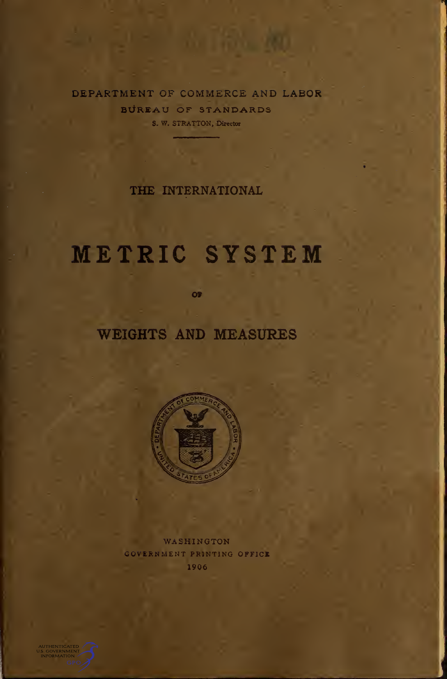DEPARTMENT OF COMMERCE AND LABOR BUREAU OF STANDARDS S. W. STRATTON, Director

THE INTERNATIONAL

# METRIC SYSTEM

**OF** 

WEIGHTS AND MEASURES



WASHINGTON GOVERNMENT PRlNTiNG OFFICK 1906

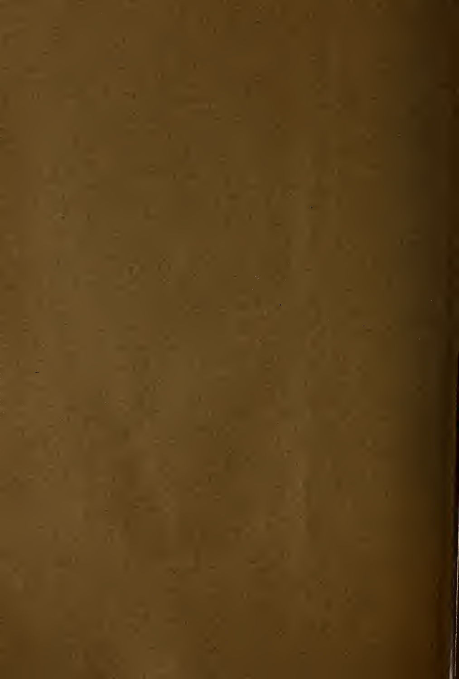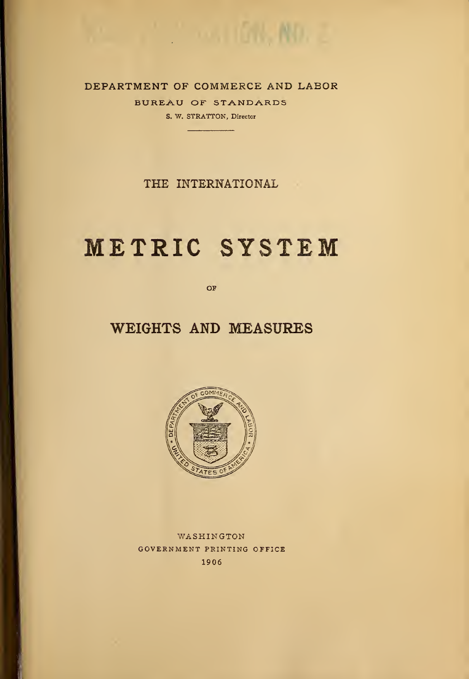**MARK MARKET DISTURBANCE** 

DEPARTMENT OF COMMERCE AND LABOR BUREAU or STANDARDS S. W. STRATTON, Director

THE INTERNATIONAL

# METRIC SYSTEM

**OF** 

# WEIGHTS AND MEASURES



WASHINGTON GOVERNMENT PRINTING OFFICE 1906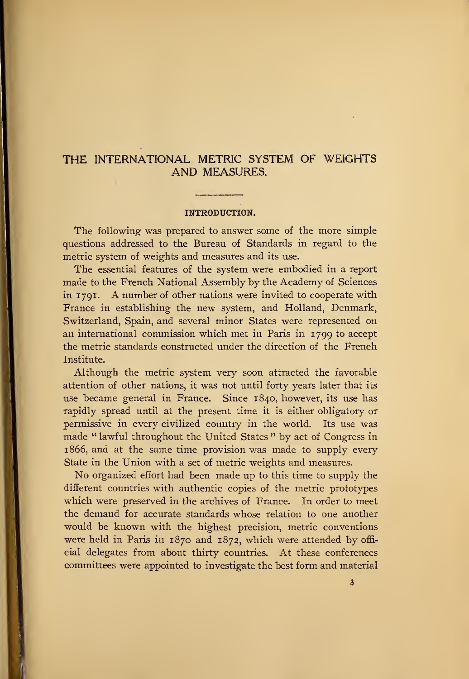## THE INTERNATIONAL METRIC SYSTEM OF WEIGHTS AND MEASURES.

#### INTRODUCTION.

The following was prepared to answer some of the more simple questions addressed to the Bureau of Standards in regard to the metric system of weights and measures and its use.

The essential features of the system were embodied in a report made to the French National Assembly by the Academy of Sciences in 1791. A number of other nations were invited to cooperate with France in establishing the new system, and Holland, Denmark, Switzerland, Spain, and several minor States were represented on an international commission which met in Paris in 1799 to accept the metric standards constructed under the direction of the French Institute.

Although the metric system very soon attracted the favorable attention of other nations, it was not until forty years later that its use became general in France. Since 1840, however, its use has rapidly spread until at the present time it is either obligatory or permissive in every civilized country in the world. Its use was made " lawful throughout the United States " by act of Congress in 1866, and at the same time provision was made to supply every State in the Union with a set of metric weights and measures.

No organized effort had been made up to this time to supply the different countries with authentic copies of the metric prototypes which were preserved in the archives of France. In order to meet the demand for accurate standards whose relation to one another would be known with the highest precision, metric conventions were held in Paris in 1870 and 1872, which were attended by offi cial delegates from about thirty countries. At these conferences committees were appointed to investigate the best form and material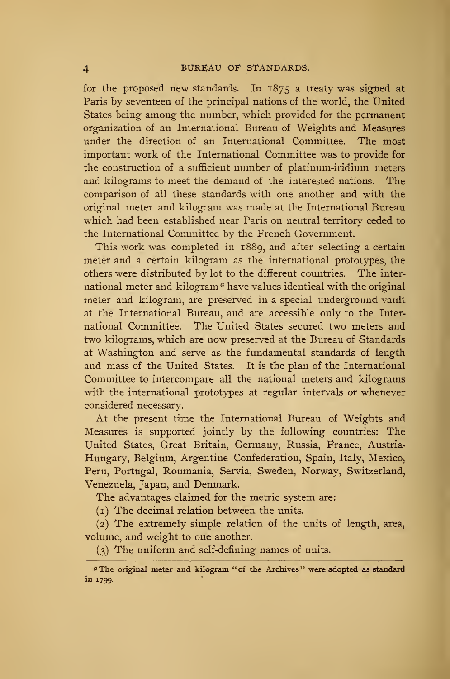for the proposed new standards. In 1875 a treaty was signed at Paris by seventeen of the principal nations of the world, the United States being among the number, which provided for the permanent organization of an International Bureau of Weights and Measures under the direction of an International Committee. The most important work of the International Committee was to provide for the construction of a sufficient number of platinum-iridium meters and kilograms to meet the demand of the interested nations. The comparison of all these standards with one another and with the original meter and kilogram was made at the International Bureau which had been established near Paris on neutral territory ceded to the International Committee by the French Government.

This work was completed in 1889, and after selecting a certain meter and a certain kilogram as the international prototypes, the others were distributed by lot to the different countries. The international meter and kilogram<sup>®</sup> have values identical with the original meter and kilogram, are preserved in a special underground vault at the International Bureau, and are accessible only to the Inter national Committee. The United States secured two meters and two kilograms, which are now preserved at the Bureau of Standards at Washington and serve as the fundamental standards of length and mass of the United States. It is the plan of the International Committee to intercompare all the national meters and kilograms with the international prototypes at regular intervals or whenever considered necessary.

At the present time the International Bureau of Weights and Measures is supported jointly by the following countries: The United States, Great Britain, Germany, Russia, France, Austria-Hungary, Belgium, Argentine Confederation, Spain, Italy, Mexico, Peru, Portugal, Roumania, Servia, Sweden, Norway, Switzerland, Venezuela, Japan, and Denmark.

The advantages claimed for the metric system are:

(1) The decimal relation between the units.

(2) The extremely simple relation of the units of length, area, volume, and weight to one another.

(3) The uniform and self-defining names of units.

a The original meter and kilogram "of the Archives" were adopted as standard in 1799.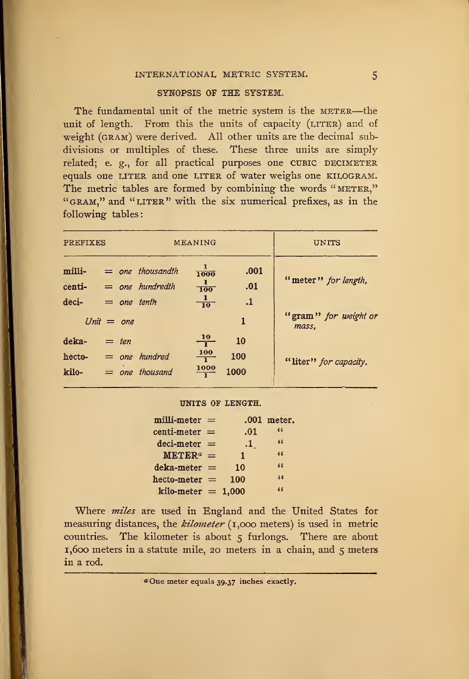#### INTERNATIONAL METRIC SYSTEM. 5

#### SYNOPSIS OF THE SYSTEM.

The fundamental unit of the metric system is the METER—the unit of length. From this the units of capacity (LITER) and of weight (GRAM) were derived. All other units are the decimal subdivisions or multiples of these. These three units are simply related; e. g., for all practical purposes one CUBIC DECIMETER equals one LITER and one LITER of water weighs one kilogram. The metric tables are formed by combining the words "METER," "GRAM," and "LITER" with the six numerical prefixes, as in the following tables:

| <b>PREFIXES</b>           |              |         |                                                          | <b>MEANING</b>                                        | UNITS                    |                               |
|---------------------------|--------------|---------|----------------------------------------------------------|-------------------------------------------------------|--------------------------|-------------------------------|
| milli-<br>centi-<br>deci- |              |         | $=$ one thousandth<br>$=$ one hundredth<br>$=$ one tenth | $\frac{1}{1000}$<br>$\frac{1}{100}$<br>$\frac{1}{10}$ | .001<br>.01<br>$\cdot$ 1 | "meter" for length,           |
|                           | Unit $=$ one |         |                                                          |                                                       | $\mathbf{1}$             | "gram" for weight or<br>mass. |
| deka-<br>hecto-<br>kilo-  |              | $=$ ten | $=$ one hundred<br>$=$ one thousand                      | $\frac{10}{1}$<br>$\frac{100}{1}$<br>$\frac{1000}{1}$ | 10<br>100<br>1000        | "liter" for capacity.         |

#### UNITS OF LENGTH.

| $m$ illi-meter $=$   |              | .001 meter. |
|----------------------|--------------|-------------|
| $centimeter =$       | .01          | 66          |
| $deci$ -meter =      | $\mathbf{1}$ | 44          |
| $METER^a =$          | 1            | 66          |
| $deka-meter =$       | 10           | 66          |
| $hecto-meter =$      | 100          | 66          |
| kilo-meter $= 1,000$ |              | 66          |

Where *miles* are used in England and the United States for measuring distances, the  $kilometer$  (1,000 meters) is used in metric countries. The kilometer is about <sup>5</sup> furlongs. There are about 1,600 meters in a statute mile, 20 meters in a chain, and 5 meters in a rod.

a One meter equals 39.37 inches exactly.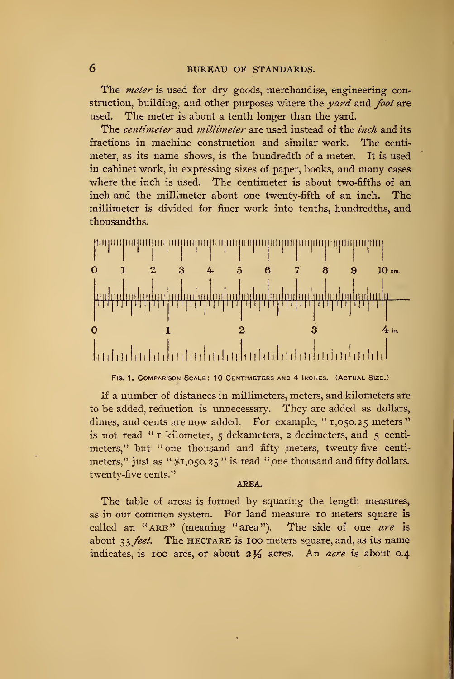The *meter* is used for dry goods, merchandise, engineering construction, building, and other purposes where the *vard* and *foot* are used. The meter is about a tenth longer than the yard.

The *centimeter* and *millimeter* are used instead of the *inch* and its fractions in machine construction and similar work. The centimeter, as its name shows, is the hundredth of a meter. It is used in cabinet work, in expressing sizes of paper, books, and many cases where the inch is used. The centimeter is about two-fifths of an inch and the millimeter about one twenty-fifth of an inch. The millimeter is divided for finer work into tenths, hundredths, and thousandths.



Fig. 1. Comparison Scale: 10 Centimeters and 4 Inches. (Actual Size.)

If a number of distances in millimeters, meters, and kilometers are to be added, reduction is unnecessary. They are added as dollars, dimes, and cents are now added. For example, "1,050.25 meters" is not read " I kilometer, 5 dekameters, 2 decimeters, and 5 centimeters," but " one thousand and fifty meters, twenty-five centimeters," just as " $$1,050.25$ " is read "one thousand and fifty dollars. twenty-five cents."

#### AREA.

The table of areas is formed by squaring the length measures, as in our common system. For land measure 10 meters square is called an "ARE" (meaning "area"). The side of one are is about  $33$  feet. The HECTARE is 100 meters square, and, as its name indicates, is 100 ares, or about  $2\frac{1}{2}$  acres. An *acre* is about 0.4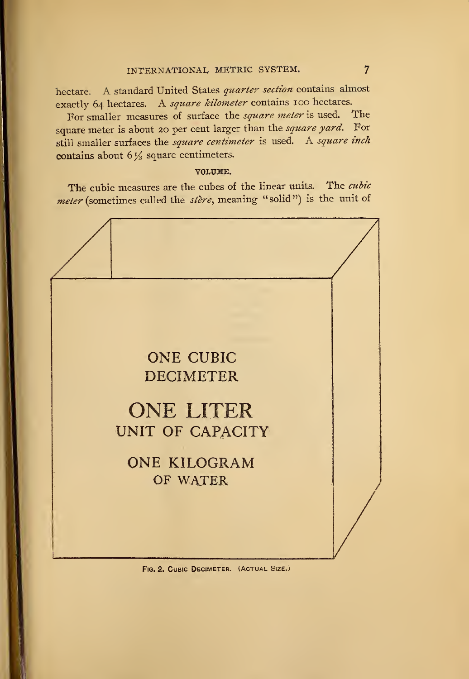hectare. A standard United States quarter section contains almost exactly 64 hectares. A square kilometer contains 100 hectares.<br>For smaller measures of surface the *square meter* is used. The

For smaller measures of surface the square meter is used. square meter is about 20 per cent larger than the square yard. For still smaller surfaces the square centimeter is used. A square inch contains about  $6\frac{1}{2}$  square centimeters.

#### VOLUME.

The cubic measures are the cubes of the linear units. The *cubic* meter (sometimes called the stère, meaning "solid") is the unit of



Fig. 2. Cubic Decimeter. (Actual Size.)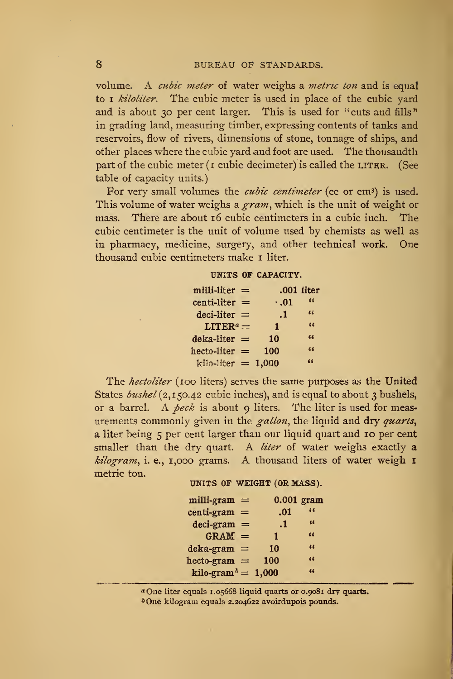volume. A *cubic meter* of water weighs a *metric ton* and is equal to I kiloliter. The cubic meter is used in place of the cubic yard and is about 30 per cent larger. This is used for "cuts and fills" in grading land, measuring timber, expressing contents of tanks and reservoirs, flow of rivers, dimensions of stone, tonnage of ships, and other places where the cubic yard and foot are used. The thousandth part of the cubic meter ( $I$  cubic decimeter) is called the LITER. (See table of capacity units.)

For very small volumes the *cubic centimeter* (cc or cm<sup>3</sup>) is used. This volume of water weighs a  $gram$ , which is the unit of weight or mass. There are about 16 cubic centimeters in a cubic inch. The cubic centimeter is the unit of volume used by chemists as well as in pharmacy, medicine, surgery, and other technical work. One thousand cubic centimeters make *I* liter.

#### UNITS OF CAPACITY.

| $m$ illi-liter $=$   |             | .001 liter |
|----------------------|-------------|------------|
| $centi$ -liter $=$   | $\cdot .01$ | 66         |
| $deci$ -liter $=$    | $\cdot$ 1   | 44         |
| $LITER^a =$          | 1           | 44         |
| $de$ ka-liter $=$    | 10          | 66         |
| $hecto$ -liter =     | 100         | 66         |
| $kilo-liter = 1,000$ |             | 44         |

The *hectoliter* (100 liters) serves the same purposes as the United States *bushel* (2,150.42 cubic inches), and is equal to about 3 bushels, or a barrel. A *peck* is about 9 liters. The liter is used for measurements commonly given in the  $\emph{gallon}$ , the liquid and dry quarts, a liter being <sup>5</sup> per cent larger than our liquid quart and 10 per cent smaller than the dry quart. A liter of water weighs exactly a kilogram, i.e., 1,000 grams. A thousand liters of water weigh  $I$ metric ton.

```
UNITS OF WEIGHT (OR MASS).
```

| $m$ illi-gram $=$     | $0.001$ gram |    |
|-----------------------|--------------|----|
| $centi-gram =$        | .01          | 66 |
| $deci-gram =$         | $\cdot$ 1    | 66 |
| $GRAH =$              | 1            | 66 |
| $deka-gram =$         | 10           | 44 |
| $hecto-gram =$        | 100          | 66 |
| kilo-gram $b = 1,000$ |              | 44 |

«One liter equals 1.05668 liquid quarts or 0.9081 dry quarts.

 $b$ One kilogram equals 2.204622 avoirdupois pounds.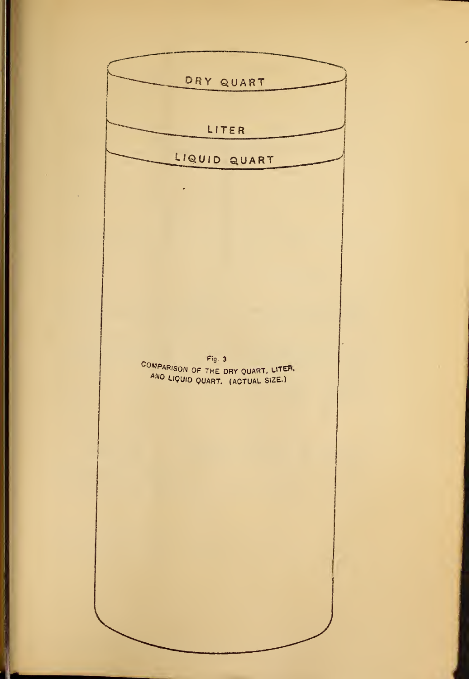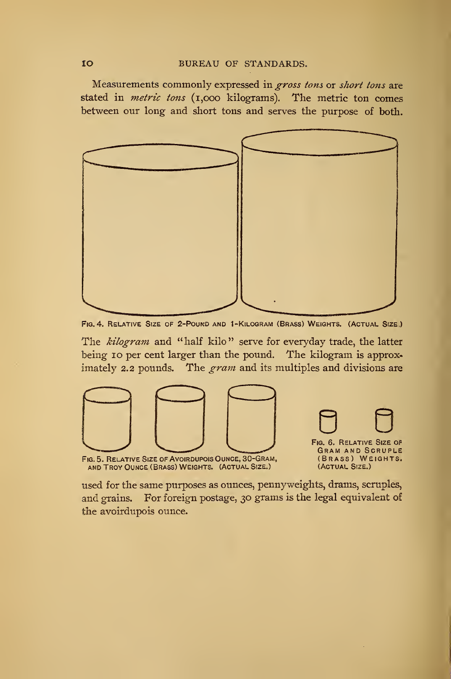Measurements commonly expressed in gross tons or short tons are stated in *metric tons* (1,000 kilograms). The metric ton comes between our long and short tons and serves the purpose of both.



FiQ.4, RELATrvE Size of 2-Pound and 1-Kiloqram (Brass) Weights. (Actual Size,)

The kilogram and "half kilo" serve for everyday trade, the latter being 10 per cent larger than the pound. The kilogram is approximately 2.2 pounds. The gram and its multiples and divisions are





Fig. 5. Relative Size of Avoirdupois Ounce, 30-Gram, AND TROY OUNCE (BRASS) WEIGHTS. (ACTUAL SIZE.)

Fig. 6. Relative Size of Gram and Scruple (Brass) Weights. (Actual Size.)

used for the same purposes as ounces, pennyweights, drams, scruples, and grains. For foreign postage, 30 grams is the legal equivalent of the avoirdupois ounce.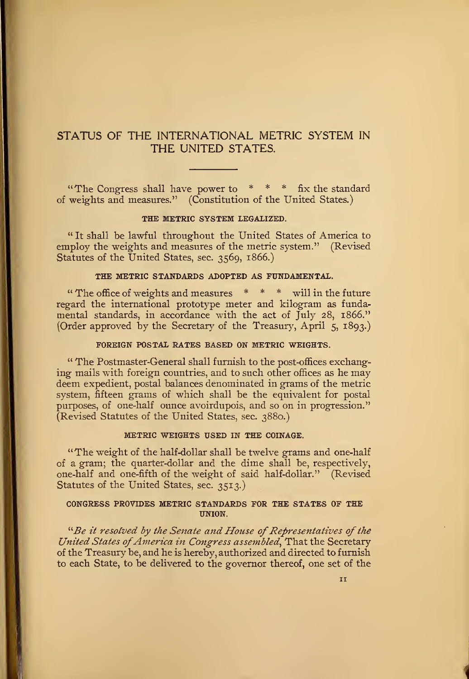### STATUS OF THE INTERNATIONAL METRIC SYSTEM IN THE UNITED STATES.

"The Congress shall have power to  $* * *$  fix the standard of weights and measures." (Constitution of the United States.)

#### THE METRIC SYSTEM LEGALIZED.

" It shall be lawful throughout the United States of America to employ the weights and measures of the metric system." (Revised Statutes of the United States, sec. 3569, 1866.)

#### THE METRIC STANDARDS ADOPTED AS FUNDAMENTAL.

" The office of weights and measures  $* * *$  will in the future regard the international prototype meter and kilogram as fundamental standards, in accordance with the act of July 28, 1866." (Order approved by the Secretary of the Treasury, April 5, 1893.)

#### FOREIGN POSTAL RATES BASED ON METRIC WEIGHTS.

" The Postmaster-General shall furnish to the post-offices exchanging mails with foreign countries, and to such other offices as he may deem expedient, postal balances denominated in grams of the metric system, fifteen grams of which shall be the equivalent for postal purposes, of one-half ounce avoirdupois, and so on in progression." (Revised Statutes of the United States, sec. 3880.)

#### METRIC WEIGHTS USED IN THE COINAGE.

"The weight of the half-dollar shall be twelve grams and one-half of a gram; the quarter-dollar and the dime shall be, respectively, one-half and one-fifth of the weight of said half-dollar." (Revised Statutes of the United States, sec. 3513.)

#### CONGRESS PROVIDES METRIC STANDARDS FOR THE STATES OF THE UNION.

"Be it resolved by the Senate and House of Representatives of the United States of America in Congress assembled, That the Secretary of the Treasury be, and he is hereby, authorized and directed to furnish to each State, to be delivered to the governor thereof, one set of the

**TT**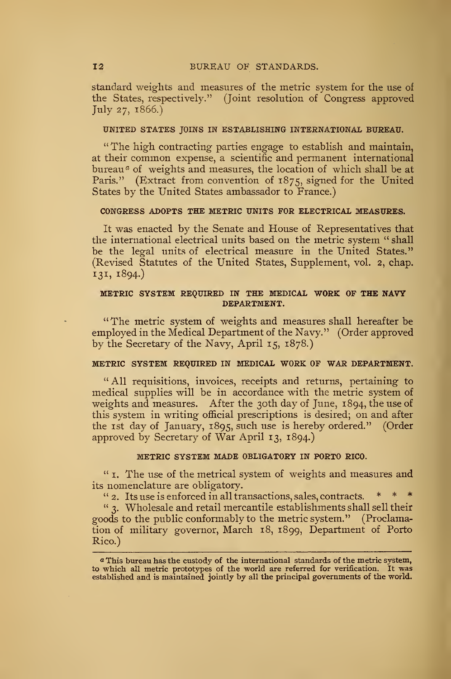standard weights and measures of the metric system for the use of the States, respectively." (Joint resolution of Congress approved July 27, 1866.)

#### UNITED STATES JOINS IN ESTABLISHING INTERNATIONAL BUREAU.

"The high contracting parties engage to establish and maintain, at their common expense, a scientific and permanent international bureau<sup> $a$ </sup> of weights and measures, the location of which shall be at Paris." (Extract from convention of 1875, signed for the United States by the United States ambassador to France.)

#### CONGRESS ADOPTS THE METRIC UNITS FOR ELECTRICAL MEASURES.

It was enacted by the Senate and House of Representatives that the international electrical units based on the metric system "shall be the legal units of electrical measure in the United States." (Revised Statutes of the United States, Supplement, vol. 2, chap. 131, 1894.)

#### METRIC SYSTEM REQUIRED IN THE MEDICAL WORK OF THE NAVY DEPARTMENT.

"The metric system of weights and measures shall hereafter be employed in the Medical Department of the Navy." (Order approved by the Secretary of the Navy, April 15, 1878.)

#### METRIC SYSTEM REQUIRED IN MEDICAL WORK OF WAR DEPARTMENT.

"All requisitions, invoices, receipts and returns, pertaining to medical supplies will be in accordance with the metric system of weights and measures. After the 30th day of June, 1894, the use of this system in writing official prescriptions is desired; on and after the ist day of January, 1895, such use is hereby ordered." (Order approved by Secretary of War April 13, 1894.)

#### METRIC SYSTEM MADE OBLIGATORY IN PORTO RICO.

" I. The use of the metrical system of weights and measures and its nomenclature are obligatory.

 $\frac{1}{2}$ . Its use is enforced in all transactions, sales, contracts.

" 3. Wholesale and retail mercantile establishments shall sell their goods to the public conformably to the metric system." (Proclamation of military governor, March 18, 1899, Department of Porto Rico.)

a This bureau has the custody of the international standards of the metric system, to which all metric prototypes of the world are referred for verification. It was established and is maintained jointly by all the principal governments of the world.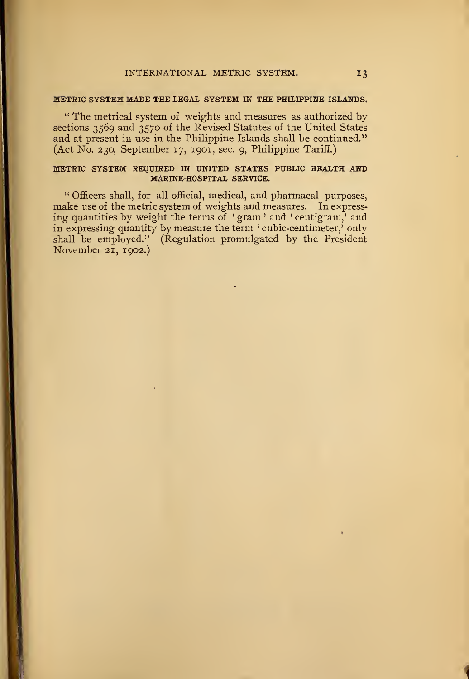#### INTERNATIONAL METRIC SYSTEM. 13

#### METRIC SYSTEM MADE THE LEGAL SYSTEM IN THE PHILIPPINE ISLANDS.

" The metrical system of weights and measures as authorized by sections 3569 and 3570 of the Revised Statutes of the United States and at present in use in the Philippine Islands shall be continued." (Act No. 230, September 17, 1901, sec. 9, Philippine Tariff.)

#### METRIC SYSTEM REQUIRED IN UNITED STATES PUBLIC HEALTH AND MARINE-HOSPITAL SERVICE.

" Officers shall, for all official, medical, and pharmacal purposes, make use of the metric system of weights and measures. In expressing quantities by weight the terms of ' gram ' and ' centigram,' and in expressing quantity by measure the term ' cubic-centimeter,' only shall be employed." (Regulation promulgated by the President November 21, 1902.)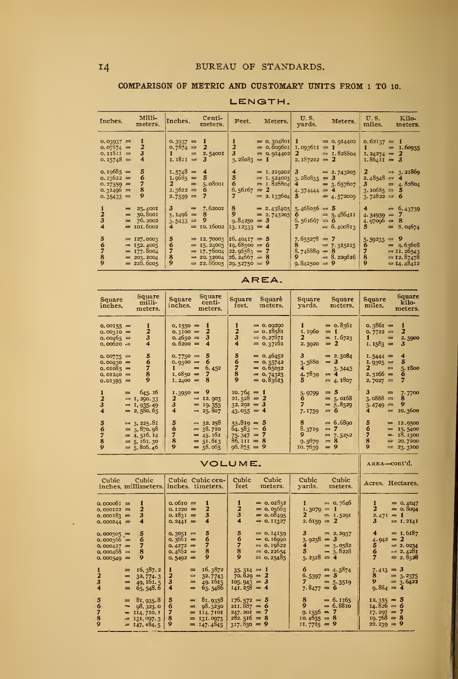#### COMPARISON OF METRIC AND CUSTOMARY UNITS FROM 1 TO 10.

### LENGTH.

| Inches.                                                                   | Milli-<br>meters.                                                            |                                                              |                                                                                                                                                                 | Inches. Centi- Feet. Meters. | U.S. Meters.                                                                                                                                                                                                                                                                                  | miles.        | U.S. Kilo-<br>meters.                                                             |
|---------------------------------------------------------------------------|------------------------------------------------------------------------------|--------------------------------------------------------------|-----------------------------------------------------------------------------------------------------------------------------------------------------------------|------------------------------|-----------------------------------------------------------------------------------------------------------------------------------------------------------------------------------------------------------------------------------------------------------------------------------------------|---------------|-----------------------------------------------------------------------------------|
| $0.03937 =$<br>$0.07874 = 2$<br>$0.11811 = 3$<br>$0.15748 =$              | - 1<br>$\overline{\mathbf{4}}$                                               | $0.3937 = 1$<br>$0.7874 = 2$<br>$1.1811 = 3$                 | $1 = 2.54001$                                                                                                                                                   |                              | 1 = 0.304801 1 = 0.914402 0.62137 = 1<br>2 = 0.609501 1 = 1.60935<br>3 = 0.694402 2 = 1.828804 1.24274 = 2<br>3 = $0.914402$ 2 = $1.828804$ 1. 24274 = 2<br>3. 28083 = 1<br>2. 187222 = 2<br>1. 86411 = 3                                                                                     | $1.86411 = 3$ |                                                                                   |
| $0.19685 =$<br>$0.23622 =$<br>$0.27559 =$<br>$0.31496 = 8$<br>$0.35433 =$ | - 5<br>6<br>$\overline{7}$<br>$\boldsymbol{9}$                               | $1.5748 = 4$<br>$1.9685 = 5$<br>$2.3622 = 6$<br>$2.7559 = 7$ | $2^{7} = 5.08001$                                                                                                                                               |                              | $\begin{vmatrix} 4 & = 1.219202 & 3 & = 2.743205 \\ 5 & = 1.524003 & 3.280833 & = 3 \\ 6 & = 1.828804 & 4 & = 3.657607 \end{vmatrix}$<br>$= 1.828804$ 4 $= 3.657607$<br>$6.56167 = 2$<br>$7 = 2.133604$ $5 = 4.572009$                                                                        |               | $2 = 3.21869$<br>$2.48548 = 4$<br>$3 = 4.82804$<br>$3.10685 = 5$<br>$3.72822 = 6$ |
| $\frac{1}{2}$<br>$\overline{\mathbf{4}}$                                  | $= 25.4001$<br>$= 50,8001$<br>$= 76.2002$<br>$= 101,6002$                    |                                                              |                                                                                                                                                                 |                              | $\begin{array}{rcl} 3 & = & 7.62002\\ 3.1495 = & 8\\ 3.1495 = & 9\\ 4 & = & 10.16002\\ 13.1495 = & 9\\ 24 & = & 10.16002\\ 14 & = & 10.16002\\ 15 & = & 10.14233\\ 16 & = & 10.16002\\ 17 & = & 10.1600\\ 18 & = & 10.14233\\ 19 & = & 10.14233\\ 10 & = & 10.14233\\ 10 & = & 10.14233\\ 11$ |               |                                                                                   |
| 5<br>0,80                                                                 | $= 127.0003$<br>$= 152.4003$<br>$= 177.8004$<br>$= 203.2004$<br>$= 228.6005$ | 5<br>$\mathbf 6$<br>$\overline{z}$<br>8<br>9                 | $= 12.70003 \mid 16.40417 = 5$<br>$= 15.24003 \text{ kg}, 68500 = 6$<br>$= 17.78004 \,  22.96583 = 7$<br>$= 20.32004$ 26.24667 = 8<br>$= 22.86005$ 29.52750 = 9 |                              | $7.655278 = 7$<br>8 = 7.315215 6 = 9.65608<br>9.748889 = 8.229616 8 = 11.26543<br>9.842500 = 9 9 = 12.87478<br>9.842500 = 9 9 = 14.48412                                                                                                                                                      |               | $5.59233 = 9$                                                                     |

| Square<br>inches.                                                       | Square<br>milli-<br>meters.                                                    | Square<br>Square<br>centi-<br>inches.<br>meters.                                                                  | Square<br>Square<br>feet.<br>meters.                                                             | Square<br>Square<br>yards.<br>meters.                                                                       | Square<br>Square<br>kilo-<br>miles.<br>meters.                                                                               |
|-------------------------------------------------------------------------|--------------------------------------------------------------------------------|-------------------------------------------------------------------------------------------------------------------|--------------------------------------------------------------------------------------------------|-------------------------------------------------------------------------------------------------------------|------------------------------------------------------------------------------------------------------------------------------|
| $0.00155 =$<br>$0.00310 =$<br>$0.00465 =$<br>$0.00620 =$                | 1<br>$\frac{2}{3}$                                                             | $0.1550 =$<br>- 1<br>$\mathbf{2}$<br>$0.3100 =$<br>$0.4650 = 3$<br>$0.6200 = 4$                                   | $= 0.09290$<br>$= 0.18581$<br>2<br>3<br>$= 0.27871$<br>$\overline{\mathbf{4}}$<br>$= 0.37161$    | $= 0.836I$<br>$\mathbf{1}$<br>I. 1960<br>$= 1$<br>$2^{\circ}$<br>$= 1.6723$<br>$= 2$<br>2.3920              | $0.3861 =$<br>-1<br>$\mathbf{2}$<br>$0.7722 =$<br>$1 =$<br>2.5900<br>$1.1583 =$<br>3                                         |
| $0.00775 =$<br>$0.00930 =$<br>$0.01085 =$<br>$0.01240 =$<br>$0.01395 =$ | 56789                                                                          | - 5<br>$0.7750 =$<br>$0.9300 =$<br>-6<br>$1 =$<br>6.452<br>$1,0850 =$<br>$\overline{z}$<br>-8<br>$1.2400 =$       | 5<br>$= 0.46452$<br>6<br>$= 0.55742$<br>7<br>$= 0.65032$<br>8<br>9<br>$= 0.74323$<br>$= 0.83613$ | 3 <sup>7</sup><br>$= 2.5084$<br>3.5880<br>$= 3$<br>4<br>3.3445<br>$\frac{4}{5}$ 7839<br>$= 4$<br>$= 4.1807$ | $\overline{\bf 4}$<br>$I.5444 =$<br>5<br>$1.9305 =$<br>$2^{n-1}$<br>5.1800<br>$\equiv$<br>$2.3166 =$<br>6<br>7<br>$2,7027 =$ |
| $=$<br>$\overline{2}$<br>$\bar{3}$<br>$\overline{\mathbf{4}}$           | 645.16<br>$= 1, 290.33$<br>$= 1,935.49$<br>$= 2,580,65$                        | $1.3950 = 9$<br>$\mathbf{2}$<br>$= 12.903$<br>$\frac{3}{4}$<br>$=$ 19.355<br>$= 25.807$                           | $10.764 = 1$<br>$2I.528 = 2$<br>$32.292 = 3$<br>$43.055 = 4$                                     | $= 5$<br>5.9799<br>6<br>$= 5.0168$<br>$\overline{z}$<br>$= 5.8529$<br>$= 6$<br>7.1759                       | $3^{\circ}$<br>$\frac{7}{8}$ . 7700<br>$\equiv$<br>$3.0888 =$<br>$\boldsymbol{9}$<br>$3.4749 =$<br>10.3600<br>$\sim$<br>$=$  |
| 5<br>0780                                                               | $= 3,225.81$<br>$=$ 3, 870.98<br>$= 4, 516.14$<br>$= 5,161,30$<br>$= 5,806.46$ | 5<br>$= 32.258$<br>$\boldsymbol{6}$<br>$= 38.710$<br>7<br>$= 45.161$<br>$\frac{8}{9}$<br>$= 51.613$<br>$= 58.065$ | $53.819 = 5$<br>$64.583 - 6$<br>$75.347 = T$<br>$86.III = 8$<br>$96.875 = 9$                     | $8^{\circ}$<br>$= 6.6890$<br>8.3719<br>$=7$<br>9 °<br>$= 7.5252$<br>9.5679<br>$= 8$<br>$10.7639 = 9$        | 5<br>$= 12.9500$<br>6<br>$= 15.5400$<br>$\overline{z}$<br>$= 18.1300$<br>8<br>9<br>$= 20,7200$<br>$= 23.3100$                |

VOLUME.

AREA-cont'd.

|                                                                              | inches. millimeters.                                                              | Cubic Cubic Cubic Cubic cen-<br>inches, timeters.                                                                       | Cubic<br>Cubic<br>feet<br>meters.                                                                                    | Cubic<br>Cubic<br>yards.<br>meters.                                                          | Acres. Hectares.                                                                                                      |
|------------------------------------------------------------------------------|-----------------------------------------------------------------------------------|-------------------------------------------------------------------------------------------------------------------------|----------------------------------------------------------------------------------------------------------------------|----------------------------------------------------------------------------------------------|-----------------------------------------------------------------------------------------------------------------------|
| $0.000061 =$<br>$0,000122 =$<br>$0.000183 =$<br>$0.000244 =$                 | $\boldsymbol{2}$<br>$\mathbf{3}$<br>$\boldsymbol{A}$                              | $0.0610 =$<br>$\mathbf{2}$<br>$0,1220 =$<br>$\overline{\mathbf{3}}$<br>$0.1831 =$<br>$0.2441 =$                         | $= 0.02832$<br>$\frac{2}{3}$<br>$= 0.05663$<br>$= 0.08495$<br>$\overline{\bf{4}}$<br>$= 0.11327$                     | $= 0.7646$<br>$\mathbf{1}$<br>$1.3079 = 1$<br>$2 = I.529I$<br>$2.6159 = 2$                   | 1.<br>$= 0.4047$<br>$\overline{2}$<br>$= 0.8094$<br>$2.47I = 1$<br>$3^{\circ}$<br>$= 1.2141$                          |
| $0.000305 =$<br>$0.000366 =$<br>$0.000427 =$<br>$0.000488 =$<br>$0.000549 =$ | 5<br>6<br>7<br>8<br>$\boldsymbol{9}$                                              | 5<br>$0.3051 =$<br>6<br>$0.3661 =$<br>$\overline{z}$<br>$0.4272 =$<br>8<br>$0.4882 =$<br>$\boldsymbol{9}$<br>$0.5492 =$ | 5<br>$= 0.14159$<br>6<br>$= 0.16990$<br>$\overline{z}$<br>$= 0.19822$<br>$\frac{8}{9}$<br>$= 0.22654$<br>$= 0.25485$ | $3 = 2.2937$<br>$3.9238 = 3$<br>4 = $3.0582$<br>5 <sup>1</sup><br>$= 3.8228$<br>$5.2318 = 4$ | $\overline{4}$<br>$= 1.6187$<br>$4.942 = 2$<br>$5^{\circ}$<br>$= 2.0234$<br>$\frac{6}{7}$<br>$= 2.4281$<br>$= 2.8328$ |
| $\overline{2}$<br>$\frac{3}{4}$                                              | $= 16,387.2$<br>$= 32,774.3$<br>$=$ 49, 161. 5<br>$= 65,548.6$                    | $= 16.3872$<br>2<br>$= 32.7743$<br>$\mathbf{3}$<br>$= 49.1615$<br>$= 65.5486$<br>4                                      | $35.314 = 1$<br>$70.629 = 2$<br>$105.943 = 3$<br>$141.258 = 4$                                                       | 6 = $4.5874$<br>$6.5397 = 5$<br>$7 = 5.3519$<br>$7.8477 = 6$                                 | $7.413 = 3$<br>$\frac{8}{9}$<br>$= 3.2375$<br>$= 3.6422$<br>$9.884 = 4$                                               |
| 5<br>0780                                                                    | $= 81,935.8$<br>$-98,323.0$<br>$=$ II4, 7I0. I<br>$= 131,097.3$<br>$= 147, 484.5$ | 5<br>$= 81.9358$<br>$= 98.3230$<br>6<br>$=$ 114.7101<br>7<br>8<br>$= 131.0973$<br>9<br>$= 147.4845$                     | $176.572 = 5$<br>$211.887 = 6$<br>$247.201 = 7$<br>$282.516 = 8$<br>$317.830 = 9$                                    | $\frac{8}{9}$<br>$= 6.1165$<br>$= 6,8810$<br>$9.1556 = 7$<br>$10.4635 = 8$<br>$11.7715 = 9$  | $12.355 = 5$<br>$I_4.826 = 6$<br>$17.297 = 7$<br>$19.768 = 8$<br>$22.239 = 9$                                         |

#### AREA.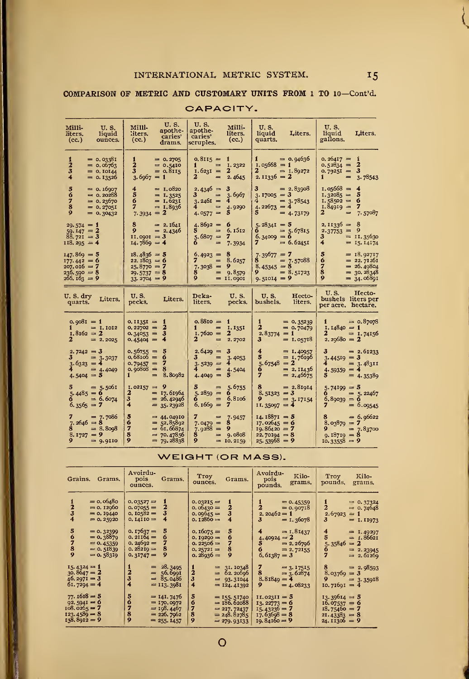# INTERNATIONAL METRIC SYSTEM. 15

COMPARISON OF METRIC AND CUSTOMARY UNITS FROM 1 TO 10-Cont'd.

| Milli-<br>U.S.<br>liters.<br>liquid<br>(cc.)<br>ounces.                                                                       | U.S.<br>Milli-<br>apothe-<br>liters.<br>caries'<br>(cc.)<br>drams.                                                              | U.S.<br>Milli-<br>apothe-<br>liters.<br>caries'<br>(cc.)<br>scruples.                                                                              | U.S.<br>Liters.<br>liquid<br>quarts.                                                                 | U.S.<br>Liters.<br>liquid<br>gallons.                                                                                                 |
|-------------------------------------------------------------------------------------------------------------------------------|---------------------------------------------------------------------------------------------------------------------------------|----------------------------------------------------------------------------------------------------------------------------------------------------|------------------------------------------------------------------------------------------------------|---------------------------------------------------------------------------------------------------------------------------------------|
| $\frac{1}{2}$<br>$= 0.03381$<br>$= 0.06763$<br>$\bar{3}$<br>$= 0.10144$<br>$\overline{\mathbf{4}}$<br>$= 0.13526$             | $= 0.2705$<br>1<br>$\overline{2}$<br>$= 0.5410$<br>3<br>$= 0.8115$<br>$3.6967 = 1$                                              | $0.8115 =$<br>1<br>$\mathbf{1}$<br>$\equiv$<br>I. 2322<br>$\mathbf{z}$<br>$1.6231 =$<br>2<br>2.4645<br>$=$                                         | $= 0.94636$<br>$1.05668 = 1$<br>2<br>$= 1,89272$<br>2. $11336 = 2$                                   | $0.26417 =$<br>一直<br>$\overline{\mathbf{2}}$<br>$0.52834 =$<br>3<br>$0.7925I =$<br>$=$<br>$1 - 1$<br>3.78543                          |
| $\sqrt{5}$<br>$= 0.16907$<br>$\frac{6}{7}$<br>$= 0.20288$<br>$= 0.23670$<br>$= 0.27051$<br>$\ddot{\mathbf{9}}$<br>$= 0.30432$ | 4<br>$= 1.0820$<br>5<br>$= 1.3525$<br>6<br>$= 1.6231$<br>$\overline{\mathbf{z}}$<br>$= 1.8936$<br>$7.3934 = 2$                  | $2.4346 =$<br>3<br>3.6967<br>3<br>$\qquad \qquad =$<br>$3.2461 =$<br>$\overline{\mathbf{4}}$<br>$\overline{4}$<br>4.9290<br>$=$<br>5<br>$4.9577 =$ | 3<br>$= 2.83908$<br>$\frac{3.17005}{4} = \frac{3}{3}$<br>$= 3.78543$<br>$4.22673 = 4$<br>$= 4.73179$ | $1.05668 =$<br>$\overline{\mathbf{4}}$<br>$1.32085 =$<br>5<br>$1.58502 = 6$<br>$1.84919 =$<br>7<br>$2^{\circ}$ =<br>7.57087           |
| $29.574 = 1$<br>$59.147 = 2$<br>$88.721 = 3$<br>$118.295 = 4$                                                                 | 8<br>$= 2.1641$<br>$\overline{9}$<br>$= 2.4346$<br>$II.0901 = 3$<br>$14.7869 = 4$                                               | 6<br>$4.8692 =$<br>5<br>6.1512<br>$=$<br>$\overline{7}$<br>$5.6807 =$<br>6.<br>$=$<br>7.3934                                                       | $5.28341 = 5$<br>$= 5.67815$<br>Ō.<br>$6.34009 = 6$<br>$\overline{7}$<br>$= 6.6245I$                 | $2.11336 = 8$<br>$2.37753 = 9$<br>3<br>$=$ 11.35630<br>4<br>$= 15.14174$                                                              |
| $147.869 = 5$<br>$177.442 = 6$<br>207.016 = <b>7</b><br>$236.590 = 8$<br>$266.163 = 9$                                        | $18.4836 = 5$<br>22. $1803 = 6$<br>$25.8770 = T$<br>$29.5737 = 8$<br>$33.2704 = 9$                                              | 8<br>$6.4923 =$<br>7<br>8.6257<br>$=$<br>$\overline{9}$<br>$7.3038 =$<br>$= 9.8579$<br>8<br>$\overline{9}$<br>$=$ II.090I                          | $7.39677 = 7$<br>$= 7.57088$<br>$8.45345 = 8$<br>$= 8.51723$<br>$9.5I0I4 = 9$                        | 5<br>$= 18.92717$<br>$\mathbf 6$<br>$= 22,71261$<br>$\overline{7}$<br>$= 26.49804$<br>8<br>$=$ 30. 28348<br>$\bullet$<br>$= 34.0689I$ |
| U.S. dry<br>Liters.<br>quarts.                                                                                                | U.S.<br>Liters.<br>pecks.                                                                                                       | <b>U.S.</b><br>Deka-<br>liters.<br>pecks.                                                                                                          | U.S.<br>Hecto-<br>liters.<br>bushels.                                                                | U.S.<br>Hecto-<br>bushels liters per<br>per acre. hectare.                                                                            |
| $0.9081 = 1$<br>$\mathbf{1}$<br>$=$ 1.1012<br>$1.8162 = 2$<br>$\mathbf{2}$<br>$= 2.2025$                                      | $0.11351 =$<br>-1<br>$\mathbf{z}$<br>$0.22702 =$<br>- 3<br>$0.34053 =$<br>-4<br>$0.45404 =$                                     | $0.8810 =$<br>-1<br>1.1351<br>1.<br>$=$<br>$\boldsymbol{2}$<br>$1.7620 =$<br>$\mathbf{2}$<br>$\equiv$<br>2.2702                                    | $\mathbf{1}$<br>$= 0.35239$<br>$\mathbf{2}$<br>$= 0.70479$<br>2.83774<br>$=1$<br>3<br>$= 1.05718$    | $= 0.87078$<br>1<br>$1.14840 = 1$<br>2<br>$= 1.74156$<br>$2.29680 = 2$                                                                |
| $2.7242 = 3$<br>3 —<br>$= 3.3037$<br>$3.6323 = 4$<br>4<br>$= 4.4049$<br>$4.5404 = 5$                                          | $0.56755 =$<br>- 5<br>- 6<br>$0,68106 =$<br>$\overline{7}$<br>$0.79457 =$<br>$0.90808 = 8$<br>8.80982<br>$1 =$                  | $2.6429 =$<br>3<br>$3^{\circ}$<br>3.4053<br>$=$<br>$3.5^{239} =$<br>$\overline{4}$<br>4.5404                                                       | $\overline{\mathbf{4}}$<br>$= 1.40957$<br>5<br>$= 1.76196$<br>$5.67548 = 2$<br>6 = 2.<br>$= 2.11436$ | 3<br>$= 2.61233$<br>$3.44519 = 3$<br>$= 3.48311$<br>4<br>$4.59359 = 4$                                                                |
|                                                                                                                               |                                                                                                                                 | - 5<br>$4.4049 =$                                                                                                                                  | $\overline{7}$<br>$= 2.46675$                                                                        | $= 4.35389$                                                                                                                           |
| 5.<br>$= 5.5061$<br>$5.4485 = 6$<br>$= 6.6074$<br>$6.3565 = 7$                                                                | $1.02157 =$<br>- 9<br>$\mathbf{z}$<br>$= 17.61964$<br>3 <sup>1</sup><br>$= 26.42946$<br>$\overline{\mathbf{4}}$<br>$= 35.23928$ | 5<br>5.6755<br>$=$<br>$5.2859 = 6$<br>6.8106<br>$=$<br>6.<br>$\overline{7}$<br>$6.1669 =$                                                          | 8<br>$= 2.81914$<br>$8.51323 = 3$<br>9<br>$= 3.17154$<br>II. $35097 = 4$                             | $5.74199 = 5$<br>6<br>$= 5.22467$<br>6.89039 = $\dot{6}$<br>7<br>$= 6.09545$                                                          |

#### CAPACITY.

**WEIGHT (OR MASS).** 

| Grains.<br>Grams.                                                                    | Avoirdu-<br>Grams.<br>pois<br>ounces.                                                                 | Troy<br>Grams.<br>ounces.                                                                                                         | Avoirdu-<br>Kilo-<br>pois<br>grams.<br>pounds.                                           | Troy<br>Kilo-<br>pounds.<br>grams.                                                                                     |
|--------------------------------------------------------------------------------------|-------------------------------------------------------------------------------------------------------|-----------------------------------------------------------------------------------------------------------------------------------|------------------------------------------------------------------------------------------|------------------------------------------------------------------------------------------------------------------------|
| $= 0.06480$<br>$= 0.12960$<br>2<br>$\frac{3}{4}$<br>$= 0.19440$<br>$= 0.25920$       | $0.03527 =$<br>2<br>$0.07055 =$<br>$0.10582 =$<br>3<br>$0.14110 =$<br>$\overline{\mathbf{A}}$         | $0.03215 =$<br>П<br>$\mathbf{2}$<br>$0.06430 =$<br>3<br>$0.09645 =$<br>$0.12860 =$                                                | $= 0.45359$<br>$= 0.90718$<br>$2.20462 = 1$<br>$= 1.36078$                               | $\frac{1}{2}$<br>$= 0.37324$<br>$= 0.74648$<br>2.67923<br>$=1$<br>3<br>$= 1.11973$                                     |
| 5<br>$= 0.32399$<br>0780<br>$= 0.38879$<br>$= 0.45359$<br>$= 0.51839$<br>$= 0.58319$ | $0.17637 =$<br>5<br>$0.21164 =$<br>6<br>$0.24692 =$<br>7<br>$0.282I9 =$<br>8<br>$0.31747 =$           | 5<br>$0.16075 =$<br>6<br>$0.19290 =$<br>7<br>$0.22506 =$<br>8<br>$0.25721 =$<br>$0.28936 =$<br>$\boldsymbol{9}$                   | $= 1.81437$<br>$4.40924 = 2$<br>$= 2.26796$<br>$= 2.72155$<br>$6.61387 = 3$              | $\overline{\mathbf{4}}$<br>$= 1.49297$<br>5<br>$= 1.86621$<br>$= 2$<br>5.35846<br>$= 2.23945$<br>o<br>ż<br>$= 2.61269$ |
| $15.4324 = 1$<br>$30.8647 = 2$<br>$46.2971 = 3$<br>$61.7294 = 4$                     | $= 28.3495$<br>2<br>$= 56.6991$<br>3<br>$= 85.0486$<br>$=$ 113.3981                                   | $= 31.10348$<br>1<br>2<br>$= 62.20696$<br>3<br>$= 93.31044$<br>$\overline{\mathbf{4}}$<br>$= 124.41392$                           | 7<br>$= 3.17515$<br>8<br>$= 3.62874$<br>$8.81849 = 4$<br>9<br>$= 4.08233$                | 8<br>$= 2.98593$<br>8.03769<br>$=$ 3<br>$\frac{9}{10.71691}$ = 3.35918                                                 |
| $77.1618 = 5$<br>$92.5941 = 6$<br>$108.0265 = 7$<br>$123.4589 = 8$<br>138. 8912 = 9  | 5<br>$= 141.7476$<br>6<br>$= 170.0972$<br>7<br>$= 198.4467$<br>8<br>$= 226.7962$<br>9<br>$= 255.1457$ | 5<br>$= 155.51740$<br>$\frac{6}{7}$<br>$= 186, 62088$<br>$= 217.72437$<br>8<br>$= 248.82785$<br>$\boldsymbol{9}$<br>$= 279.93133$ | $11,02311 = 5$<br>$x_3, 22773 = 6$<br>$15.43236 = 7$<br>$17.63698 = 8$<br>$19.84160 = 9$ | $13.39614 = 5$<br>$16.07537 = 6$<br>$18.75460 = 7$<br>$21.43383 = 8$<br>$24.11306 = 9$                                 |

 $\overline{O}$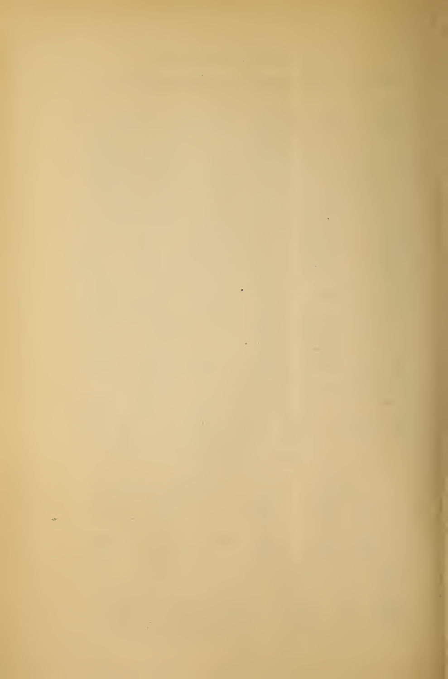$\sim 1000$ 

 $\mathcal{O}(\mathcal{A})$  ,  $\mathcal{O}(\mathcal{A})$  $\mathcal{O}(\mathcal{A}^{\mathcal{A}}_{\mathcal{A}}(\mathcal{A}^{\mathcal{A}}_{\mathcal{A}}))$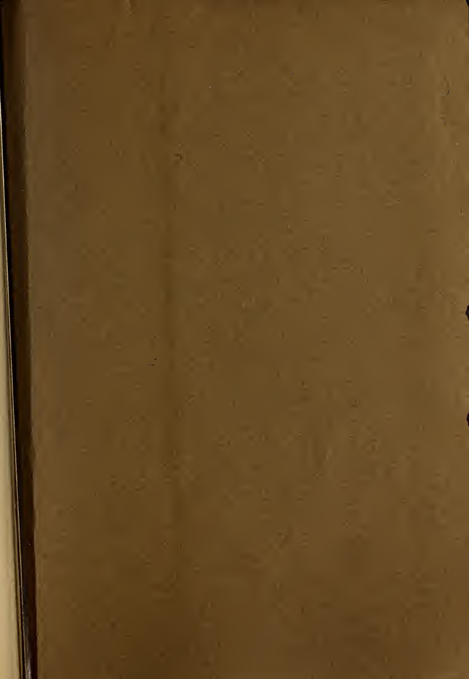